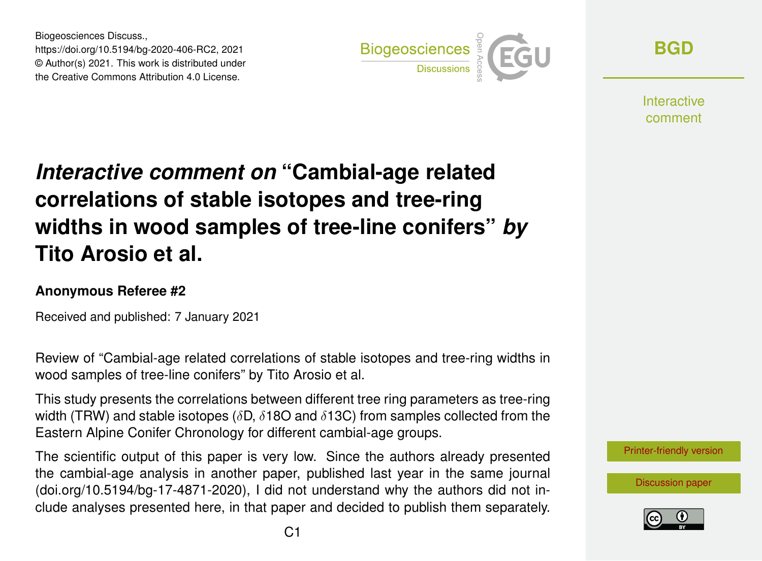Biogeosciences Discuss., https://doi.org/10.5194/bg-2020-406-RC2, 2021 © Author(s) 2021. This work is distributed under the Creative Commons Attribution 4.0 License.



**[BGD](https://bg.copernicus.org/preprints/)**

**Interactive** comment

## *Interactive comment on* **"Cambial-age related correlations of stable isotopes and tree-ring widths in wood samples of tree-line conifers"** *by* **Tito Arosio et al.**

## **Anonymous Referee #2**

Received and published: 7 January 2021

Review of "Cambial-age related correlations of stable isotopes and tree-ring widths in wood samples of tree-line conifers" by Tito Arosio et al.

This study presents the correlations between different tree ring parameters as tree-ring width (TRW) and stable isotopes ( $\delta$ D,  $\delta$ 18O and  $\delta$ 13C) from samples collected from the Eastern Alpine Conifer Chronology for different cambial-age groups.

The scientific output of this paper is very low. Since the authors already presented the cambial-age analysis in another paper, published last year in the same journal (doi.org/10.5194/bg-17-4871-2020), I did not understand why the authors did not include analyses presented here, in that paper and decided to publish them separately. [Printer-friendly version](https://bg.copernicus.org/preprints/bg-2020-406/bg-2020-406-RC2-print.pdf)

[Discussion paper](https://bg.copernicus.org/preprints/bg-2020-406)

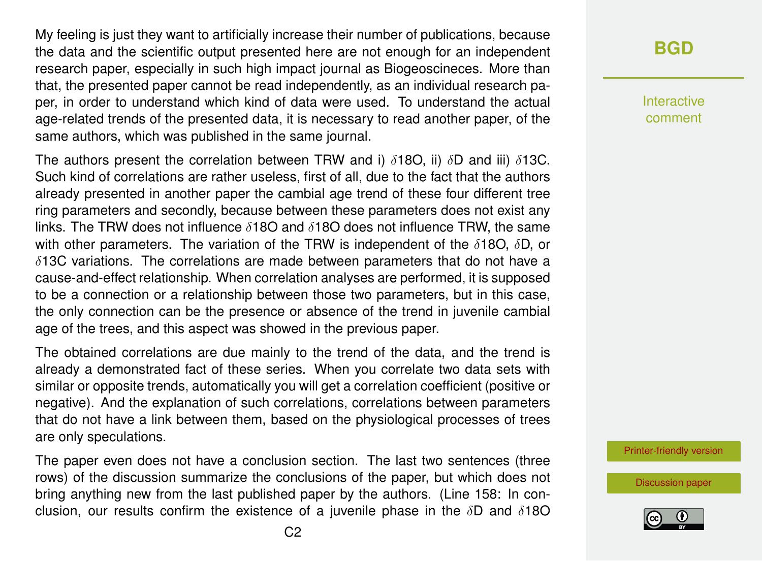My feeling is just they want to artificially increase their number of publications, because the data and the scientific output presented here are not enough for an independent research paper, especially in such high impact journal as Biogeoscineces. More than that, the presented paper cannot be read independently, as an individual research paper, in order to understand which kind of data were used. To understand the actual age-related trends of the presented data, it is necessary to read another paper, of the same authors, which was published in the same journal.

The authors present the correlation between TRW and i)  $\delta$ 180, ii)  $\delta$ D and iii)  $\delta$ 13C. Such kind of correlations are rather useless, first of all, due to the fact that the authors already presented in another paper the cambial age trend of these four different tree ring parameters and secondly, because between these parameters does not exist any links. The TRW does not influence  $\delta$ 180 and  $\delta$ 180 does not influence TRW, the same with other parameters. The variation of the TRW is independent of the  $\delta$ 18O,  $\delta$ D, or  $\delta$ 13C variations. The correlations are made between parameters that do not have a cause-and-effect relationship. When correlation analyses are performed, it is supposed to be a connection or a relationship between those two parameters, but in this case, the only connection can be the presence or absence of the trend in juvenile cambial age of the trees, and this aspect was showed in the previous paper.

The obtained correlations are due mainly to the trend of the data, and the trend is already a demonstrated fact of these series. When you correlate two data sets with similar or opposite trends, automatically you will get a correlation coefficient (positive or negative). And the explanation of such correlations, correlations between parameters that do not have a link between them, based on the physiological processes of trees are only speculations.

The paper even does not have a conclusion section. The last two sentences (three rows) of the discussion summarize the conclusions of the paper, but which does not bring anything new from the last published paper by the authors. (Line 158: In conclusion, our results confirm the existence of a juvenile phase in the  $\delta D$  and  $\delta 18O$ 

## **[BGD](https://bg.copernicus.org/preprints/)**

Interactive comment

[Printer-friendly version](https://bg.copernicus.org/preprints/bg-2020-406/bg-2020-406-RC2-print.pdf)

[Discussion paper](https://bg.copernicus.org/preprints/bg-2020-406)